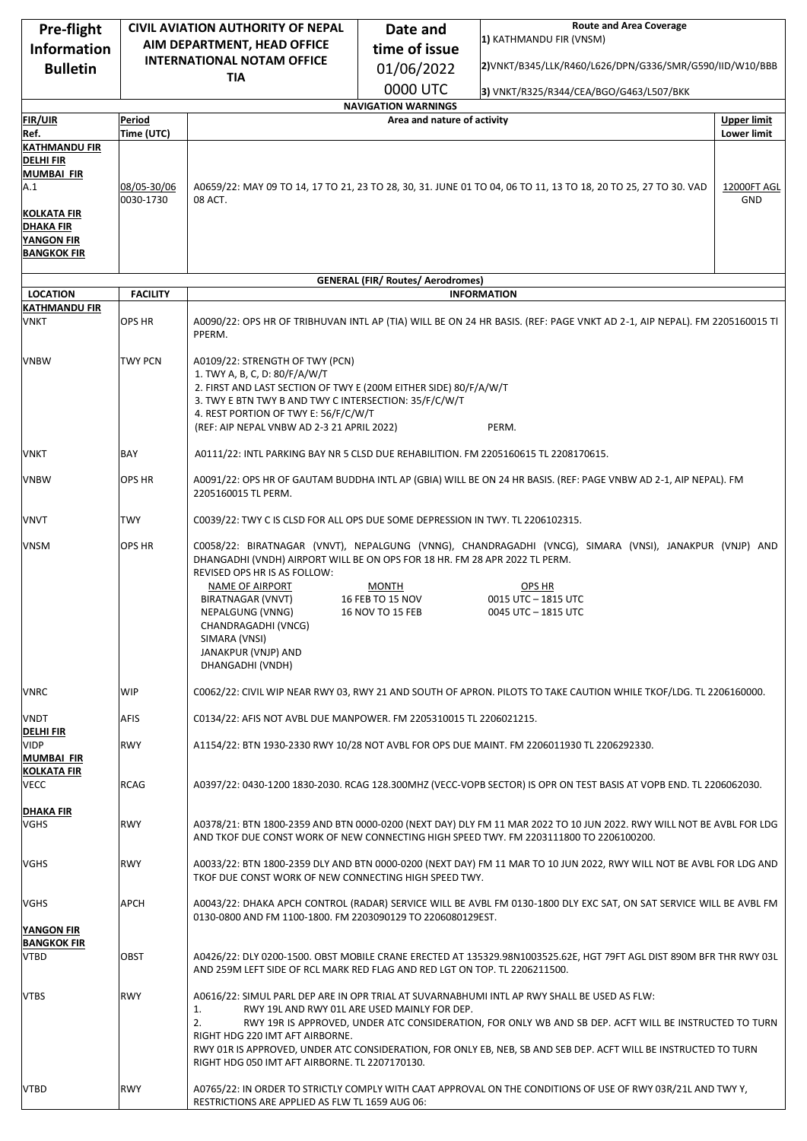| Pre-flight                              | <b>CIVIL AVIATION AUTHORITY OF NEPAL</b>                                                                                                                                                                                                                                                                                                                                      |                                                                                                                                                                                                                | Date and                                 | <b>Route and Area Coverage</b>                                                                                           |                                          |  |
|-----------------------------------------|-------------------------------------------------------------------------------------------------------------------------------------------------------------------------------------------------------------------------------------------------------------------------------------------------------------------------------------------------------------------------------|----------------------------------------------------------------------------------------------------------------------------------------------------------------------------------------------------------------|------------------------------------------|--------------------------------------------------------------------------------------------------------------------------|------------------------------------------|--|
| <b>Information</b>                      |                                                                                                                                                                                                                                                                                                                                                                               | AIM DEPARTMENT, HEAD OFFICE                                                                                                                                                                                    | time of issue                            | 1) KATHMANDU FIR (VNSM)                                                                                                  |                                          |  |
| <b>Bulletin</b>                         |                                                                                                                                                                                                                                                                                                                                                                               | <b>INTERNATIONAL NOTAM OFFICE</b>                                                                                                                                                                              | 01/06/2022                               | 2) VNKT/B345/LLK/R460/L626/DPN/G336/SMR/G590/IID/W10/BBB                                                                 |                                          |  |
|                                         |                                                                                                                                                                                                                                                                                                                                                                               | <b>TIA</b>                                                                                                                                                                                                     | 0000 UTC                                 | 3) VNKT/R325/R344/CEA/BGO/G463/L507/BKK                                                                                  |                                          |  |
|                                         |                                                                                                                                                                                                                                                                                                                                                                               |                                                                                                                                                                                                                | <b>NAVIGATION WARNINGS</b>               |                                                                                                                          |                                          |  |
| <b>FIR/UIR</b><br>Ref.                  | Period<br>Time (UTC)                                                                                                                                                                                                                                                                                                                                                          |                                                                                                                                                                                                                | Area and nature of activity              |                                                                                                                          | <b>Upper limit</b><br><b>Lower limit</b> |  |
| <b>KATHMANDU FIR</b>                    |                                                                                                                                                                                                                                                                                                                                                                               |                                                                                                                                                                                                                |                                          |                                                                                                                          |                                          |  |
| <b>DELHI FIR</b>                        |                                                                                                                                                                                                                                                                                                                                                                               |                                                                                                                                                                                                                |                                          |                                                                                                                          |                                          |  |
| <b>MUMBAI FIR</b><br>A.1                | 08/05-30/06                                                                                                                                                                                                                                                                                                                                                                   |                                                                                                                                                                                                                |                                          | A0659/22: MAY 09 TO 14, 17 TO 21, 23 TO 28, 30, 31. JUNE 01 TO 04, 06 TO 11, 13 TO 18, 20 TO 25, 27 TO 30. VAD           | 12000FT AGL                              |  |
|                                         | 0030-1730                                                                                                                                                                                                                                                                                                                                                                     | 08 ACT.                                                                                                                                                                                                        |                                          |                                                                                                                          | GND                                      |  |
| KOLKATA FIR<br><b>DHAKA FIR</b>         |                                                                                                                                                                                                                                                                                                                                                                               |                                                                                                                                                                                                                |                                          |                                                                                                                          |                                          |  |
| <b>YANGON FIR</b>                       |                                                                                                                                                                                                                                                                                                                                                                               |                                                                                                                                                                                                                |                                          |                                                                                                                          |                                          |  |
| <b>BANGKOK FIR</b>                      |                                                                                                                                                                                                                                                                                                                                                                               |                                                                                                                                                                                                                |                                          |                                                                                                                          |                                          |  |
|                                         |                                                                                                                                                                                                                                                                                                                                                                               |                                                                                                                                                                                                                | <b>GENERAL (FIR/ Routes/ Aerodromes)</b> |                                                                                                                          |                                          |  |
| <b>LOCATION</b><br><b>KATHMANDU FIR</b> | <b>FACILITY</b>                                                                                                                                                                                                                                                                                                                                                               |                                                                                                                                                                                                                |                                          | <b>INFORMATION</b>                                                                                                       |                                          |  |
| <b>VNKT</b>                             | <b>OPS HR</b>                                                                                                                                                                                                                                                                                                                                                                 | PPERM.                                                                                                                                                                                                         |                                          | A0090/22: OPS HR OF TRIBHUVAN INTL AP (TIA) WILL BE ON 24 HR BASIS. (REF: PAGE VNKT AD 2-1, AIP NEPAL). FM 2205160015 TI |                                          |  |
| <b>VNBW</b>                             | TWY PCN                                                                                                                                                                                                                                                                                                                                                                       | A0109/22: STRENGTH OF TWY (PCN)                                                                                                                                                                                |                                          |                                                                                                                          |                                          |  |
|                                         |                                                                                                                                                                                                                                                                                                                                                                               | 1. TWY A, B, C, D: 80/F/A/W/T<br>2. FIRST AND LAST SECTION OF TWY E (200M EITHER SIDE) 80/F/A/W/T                                                                                                              |                                          |                                                                                                                          |                                          |  |
|                                         |                                                                                                                                                                                                                                                                                                                                                                               | 3. TWY E BTN TWY B AND TWY C INTERSECTION: 35/F/C/W/T                                                                                                                                                          |                                          |                                                                                                                          |                                          |  |
|                                         |                                                                                                                                                                                                                                                                                                                                                                               | 4. REST PORTION OF TWY E: 56/F/C/W/T<br>(REF: AIP NEPAL VNBW AD 2-3 21 APRIL 2022)                                                                                                                             |                                          | PERM.                                                                                                                    |                                          |  |
| <b>VNKT</b>                             | BAY                                                                                                                                                                                                                                                                                                                                                                           | A0111/22: INTL PARKING BAY NR 5 CLSD DUE REHABILITION. FM 2205160615 TL 2208170615.                                                                                                                            |                                          |                                                                                                                          |                                          |  |
| <b>VNBW</b>                             | OPS HR                                                                                                                                                                                                                                                                                                                                                                        | A0091/22: OPS HR OF GAUTAM BUDDHA INTL AP (GBIA) WILL BE ON 24 HR BASIS. (REF: PAGE VNBW AD 2-1, AIP NEPAL). FM                                                                                                |                                          |                                                                                                                          |                                          |  |
|                                         |                                                                                                                                                                                                                                                                                                                                                                               | 2205160015 TL PERM.                                                                                                                                                                                            |                                          |                                                                                                                          |                                          |  |
| <b>VNVT</b>                             | TWY                                                                                                                                                                                                                                                                                                                                                                           | C0039/22: TWY C IS CLSD FOR ALL OPS DUE SOME DEPRESSION IN TWY. TL 2206102315.                                                                                                                                 |                                          |                                                                                                                          |                                          |  |
| <b>VNSM</b>                             | OPS HR<br>C0058/22: BIRATNAGAR (VNVT), NEPALGUNG (VNNG), CHANDRAGADHI (VNCG), SIMARA (VNSI), JANAKPUR (VNJP) AND<br>DHANGADHI (VNDH) AIRPORT WILL BE ON OPS FOR 18 HR. FM 28 APR 2022 TL PERM.<br>REVISED OPS HR IS AS FOLLOW:<br><b>NAME OF AIRPORT</b><br><b>MONTH</b><br>OPS HR<br>0015 UTC - 1815 UTC<br>BIRATNAGAR (VNVT)<br>16 FEB TO 15 NOV<br><b>16 NOV TO 15 FEB</b> |                                                                                                                                                                                                                |                                          |                                                                                                                          |                                          |  |
|                                         |                                                                                                                                                                                                                                                                                                                                                                               | NEPALGUNG (VNNG)<br>CHANDRAGADHI (VNCG)<br>SIMARA (VNSI)<br>JANAKPUR (VNJP) AND<br>DHANGADHI (VNDH)                                                                                                            |                                          | 0045 UTC - 1815 UTC                                                                                                      |                                          |  |
| <b>VNRC</b>                             | WIP                                                                                                                                                                                                                                                                                                                                                                           | C0062/22: CIVIL WIP NEAR RWY 03, RWY 21 AND SOUTH OF APRON. PILOTS TO TAKE CAUTION WHILE TKOF/LDG. TL 2206160000.                                                                                              |                                          |                                                                                                                          |                                          |  |
| <b>VNDT</b><br><b>DELHI FIR</b>         | <b>AFIS</b>                                                                                                                                                                                                                                                                                                                                                                   | C0134/22: AFIS NOT AVBL DUE MANPOWER. FM 2205310015 TL 2206021215.                                                                                                                                             |                                          |                                                                                                                          |                                          |  |
| <b>VIDP</b><br><b>MUMBAI FIR</b>        | <b>RWY</b>                                                                                                                                                                                                                                                                                                                                                                    |                                                                                                                                                                                                                |                                          | A1154/22: BTN 1930-2330 RWY 10/28 NOT AVBL FOR OPS DUE MAINT. FM 2206011930 TL 2206292330.                               |                                          |  |
| <b>KOLKATA FIR</b><br>VECC              | RCAG                                                                                                                                                                                                                                                                                                                                                                          |                                                                                                                                                                                                                |                                          | A0397/22: 0430-1200 1830-2030. RCAG 128.300MHZ (VECC-VOPB SECTOR) IS OPR ON TEST BASIS AT VOPB END. TL 2206062030.       |                                          |  |
| <b>DHAKA FIR</b><br><b>VGHS</b>         | <b>RWY</b>                                                                                                                                                                                                                                                                                                                                                                    | A0378/21: BTN 1800-2359 AND BTN 0000-0200 (NEXT DAY) DLY FM 11 MAR 2022 TO 10 JUN 2022. RWY WILL NOT BE AVBL FOR LDG<br>AND TKOF DUE CONST WORK OF NEW CONNECTING HIGH SPEED TWY. FM 2203111800 TO 2206100200. |                                          |                                                                                                                          |                                          |  |
| VGHS                                    | RWY                                                                                                                                                                                                                                                                                                                                                                           | TKOF DUE CONST WORK OF NEW CONNECTING HIGH SPEED TWY.                                                                                                                                                          |                                          | A0033/22: BTN 1800-2359 DLY AND BTN 0000-0200 (NEXT DAY) FM 11 MAR TO 10 JUN 2022, RWY WILL NOT BE AVBL FOR LDG AND      |                                          |  |
| VGHS<br><b>YANGON FIR</b>               | <b>APCH</b>                                                                                                                                                                                                                                                                                                                                                                   | 0130-0800 AND FM 1100-1800. FM 2203090129 TO 2206080129EST.                                                                                                                                                    |                                          | A0043/22: DHAKA APCH CONTROL (RADAR) SERVICE WILL BE AVBL FM 0130-1800 DLY EXC SAT, ON SAT SERVICE WILL BE AVBL FM       |                                          |  |
| <b>BANGKOK FIR</b><br><b>VTBD</b>       | OBST                                                                                                                                                                                                                                                                                                                                                                          | AND 259M LEFT SIDE OF RCL MARK RED FLAG AND RED LGT ON TOP. TL 2206211500.                                                                                                                                     |                                          | A0426/22: DLY 0200-1500. OBST MOBILE CRANE ERECTED AT 135329.98N1003525.62E, HGT 79FT AGL DIST 890M BFR THR RWY 03L      |                                          |  |
| <b>VTBS</b>                             | <b>RWY</b><br>A0616/22: SIMUL PARL DEP ARE IN OPR TRIAL AT SUVARNABHUMI INTL AP RWY SHALL BE USED AS FLW:<br>RWY 19L AND RWY 01L ARE USED MAINLY FOR DEP.<br>1.                                                                                                                                                                                                               |                                                                                                                                                                                                                |                                          |                                                                                                                          |                                          |  |
|                                         |                                                                                                                                                                                                                                                                                                                                                                               | 2.                                                                                                                                                                                                             |                                          | RWY 19R IS APPROVED, UNDER ATC CONSIDERATION, FOR ONLY WB AND SB DEP. ACFT WILL BE INSTRUCTED TO TURN                    |                                          |  |
|                                         |                                                                                                                                                                                                                                                                                                                                                                               | RIGHT HDG 220 IMT AFT AIRBORNE.<br>RIGHT HDG 050 IMT AFT AIRBORNE. TL 2207170130.                                                                                                                              |                                          | RWY 01R IS APPROVED, UNDER ATC CONSIDERATION, FOR ONLY EB, NEB, SB AND SEB DEP. ACFT WILL BE INSTRUCTED TO TURN          |                                          |  |
| <b>VTBD</b>                             | <b>RWY</b>                                                                                                                                                                                                                                                                                                                                                                    | RESTRICTIONS ARE APPLIED AS FLW TL 1659 AUG 06:                                                                                                                                                                |                                          | A0765/22: IN ORDER TO STRICTLY COMPLY WITH CAAT APPROVAL ON THE CONDITIONS OF USE OF RWY 03R/21L AND TWY Y,              |                                          |  |